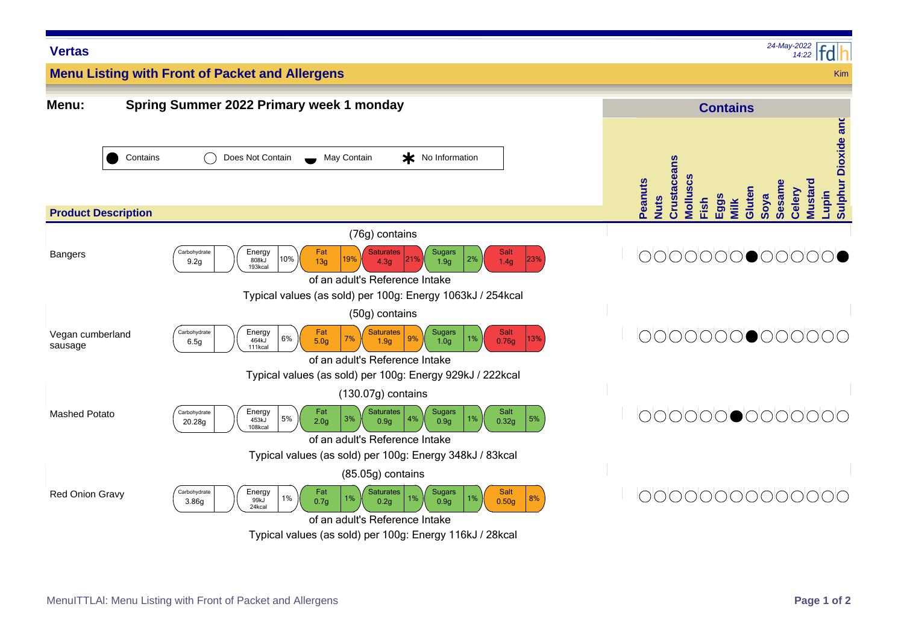